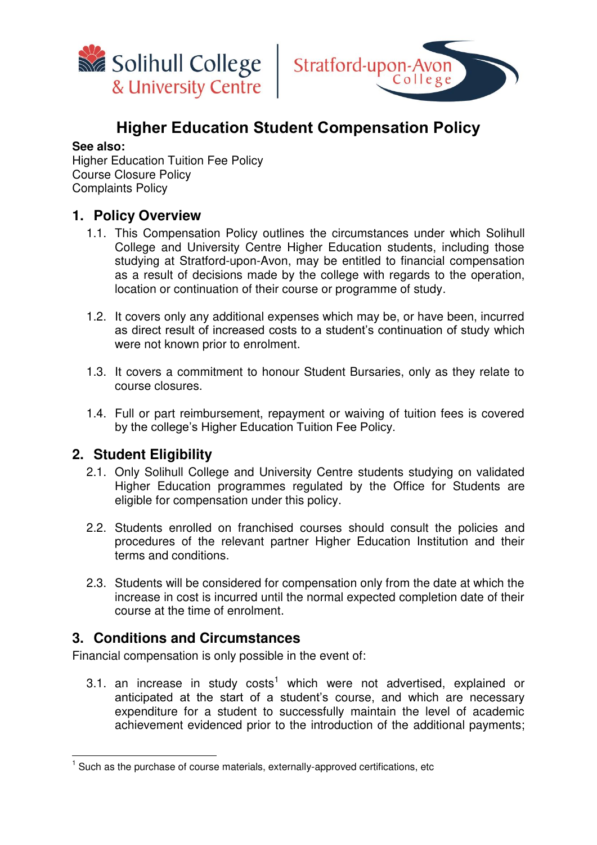



# **Higher Education Student Compensation Policy**

#### **See also:**

Higher Education Tuition Fee Policy Course Closure Policy Complaints Policy

### **1. Policy Overview**

- 1.1. This Compensation Policy outlines the circumstances under which Solihull College and University Centre Higher Education students, including those studying at Stratford-upon-Avon, may be entitled to financial compensation as a result of decisions made by the college with regards to the operation, location or continuation of their course or programme of study.
- 1.2. It covers only any additional expenses which may be, or have been, incurred as direct result of increased costs to a student's continuation of study which were not known prior to enrolment.
- 1.3. It covers a commitment to honour Student Bursaries, only as they relate to course closures.
- 1.4. Full or part reimbursement, repayment or waiving of tuition fees is covered by the college's Higher Education Tuition Fee Policy.

### **2. Student Eligibility**

- 2.1. Only Solihull College and University Centre students studying on validated Higher Education programmes regulated by the Office for Students are eligible for compensation under this policy.
- 2.2. Students enrolled on franchised courses should consult the policies and procedures of the relevant partner Higher Education Institution and their terms and conditions.
- 2.3. Students will be considered for compensation only from the date at which the increase in cost is incurred until the normal expected completion date of their course at the time of enrolment.

### **3. Conditions and Circumstances**

Financial compensation is only possible in the event of:

3.1. an increase in study costs<sup>1</sup> which were not advertised, explained or anticipated at the start of a student's course, and which are necessary expenditure for a student to successfully maintain the level of academic achievement evidenced prior to the introduction of the additional payments;

 1 Such as the purchase of course materials, externally-approved certifications, etc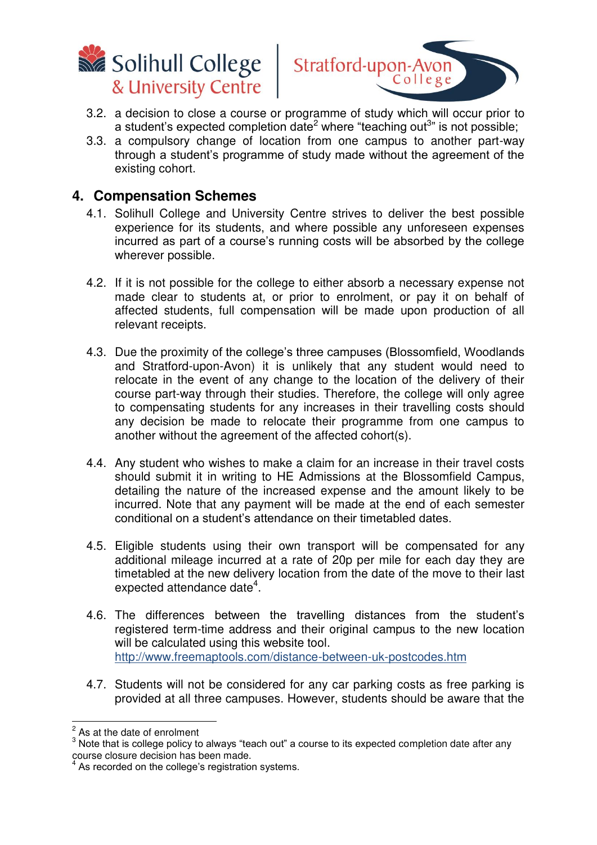



- 3.2. a decision to close a course or programme of study which will occur prior to a student's expected completion date<sup>2</sup> where "teaching out<sup>3</sup>" is not possible;
- 3.3. a compulsory change of location from one campus to another part-way through a student's programme of study made without the agreement of the existing cohort.

#### **4. Compensation Schemes**

- 4.1. Solihull College and University Centre strives to deliver the best possible experience for its students, and where possible any unforeseen expenses incurred as part of a course's running costs will be absorbed by the college wherever possible.
- 4.2. If it is not possible for the college to either absorb a necessary expense not made clear to students at, or prior to enrolment, or pay it on behalf of affected students, full compensation will be made upon production of all relevant receipts.
- 4.3. Due the proximity of the college's three campuses (Blossomfield, Woodlands and Stratford-upon-Avon) it is unlikely that any student would need to relocate in the event of any change to the location of the delivery of their course part-way through their studies. Therefore, the college will only agree to compensating students for any increases in their travelling costs should any decision be made to relocate their programme from one campus to another without the agreement of the affected cohort(s).
- 4.4. Any student who wishes to make a claim for an increase in their travel costs should submit it in writing to HE Admissions at the Blossomfield Campus, detailing the nature of the increased expense and the amount likely to be incurred. Note that any payment will be made at the end of each semester conditional on a student's attendance on their timetabled dates.
- 4.5. Eligible students using their own transport will be compensated for any additional mileage incurred at a rate of 20p per mile for each day they are timetabled at the new delivery location from the date of the move to their last expected attendance date $4$ .
- 4.6. The differences between the travelling distances from the student's registered term-time address and their original campus to the new location will be calculated using this website tool. <http://www.freemaptools.com/distance-between-uk-postcodes.htm>
- 4.7. Students will not be considered for any car parking costs as free parking is provided at all three campuses. However, students should be aware that the

 $\frac{2}{3}$  As at the date of enrolment

<sup>&</sup>lt;sup>3</sup> Note that is college policy to always "teach out" a course to its expected completion date after any course closure decision has been made. 4

As recorded on the college's registration systems.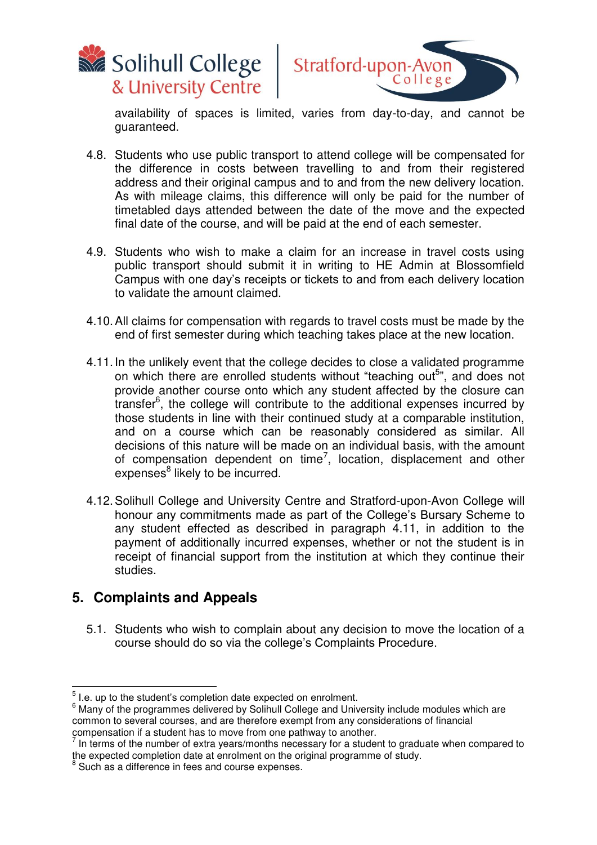



availability of spaces is limited, varies from day-to-day, and cannot be guaranteed.

- 4.8. Students who use public transport to attend college will be compensated for the difference in costs between travelling to and from their registered address and their original campus and to and from the new delivery location. As with mileage claims, this difference will only be paid for the number of timetabled days attended between the date of the move and the expected final date of the course, and will be paid at the end of each semester.
- 4.9. Students who wish to make a claim for an increase in travel costs using public transport should submit it in writing to HE Admin at Blossomfield Campus with one day's receipts or tickets to and from each delivery location to validate the amount claimed.
- 4.10. All claims for compensation with regards to travel costs must be made by the end of first semester during which teaching takes place at the new location.
- 4.11. In the unlikely event that the college decides to close a validated programme on which there are enrolled students without "teaching out<sup>5</sup>", and does not provide another course onto which any student affected by the closure can transfer<sup>6</sup>, the college will contribute to the additional expenses incurred by those students in line with their continued study at a comparable institution, and on a course which can be reasonably considered as similar. All decisions of this nature will be made on an individual basis, with the amount of compensation dependent on time<sup>7</sup>, location, displacement and other expenses<sup>8</sup> likely to be incurred.
- 4.12. Solihull College and University Centre and Stratford-upon-Avon College will honour any commitments made as part of the College's Bursary Scheme to any student effected as described in paragraph 4.11, in addition to the payment of additionally incurred expenses, whether or not the student is in receipt of financial support from the institution at which they continue their studies.

## **5. Complaints and Appeals**

5.1. Students who wish to complain about any decision to move the location of a course should do so via the college's Complaints Procedure.

 5 I.e. up to the student's completion date expected on enrolment.

 $6$  Many of the programmes delivered by Solihull College and University include modules which are common to several courses, and are therefore exempt from any considerations of financial

compensation if a student has to move from one pathway to another.<br><sup>7</sup> In terms of the number of extra years/months necessary for a student to graduate when compared to the expected completion date at enrolment on the original programme of study.<br><sup>8</sup> Sueb as a difference in foss and course expenses

Such as a difference in fees and course expenses.